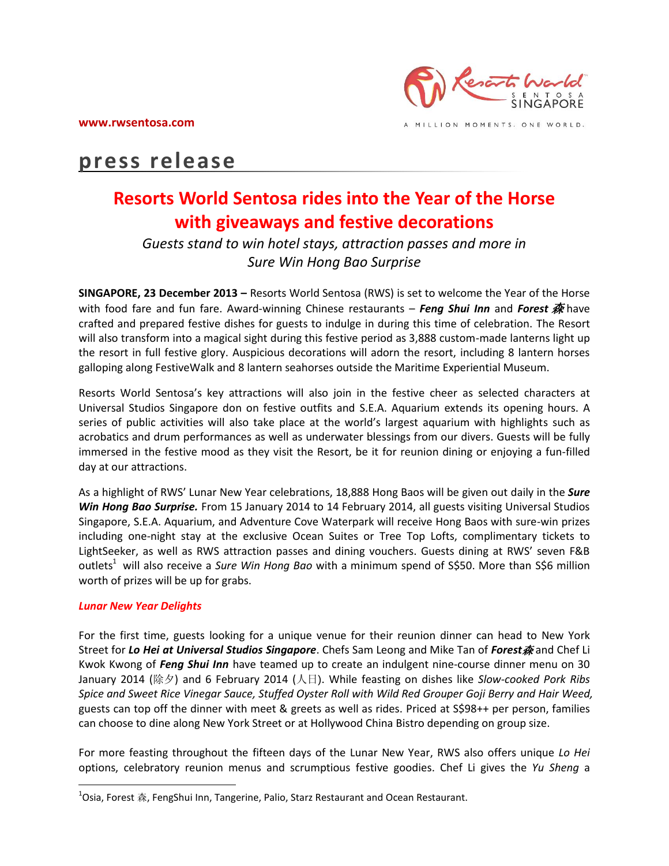

A MILLION MOMENTS. ONE WORLD.

# **press release**

# **Resorts World Sentosa rides into the Year of the Horse with giveaways and festive decorations**

# *Guests stand to win hotel stays, attraction passes and more in Sure Win Hong Bao Surprise*

**SINGAPORE, 23 December 2013 –** Resorts World Sentosa (RWS) is set to welcome the Year of the Horse with food fare and fun fare. Award-winning Chinese restaurants – *Feng Shui Inn* and *Forest* 森 have crafted and prepared festive dishes for guests to indulge in during this time of celebration. The Resort will also transform into a magical sight during this festive period as 3,888 custom-made lanterns light up the resort in full festive glory. Auspicious decorations will adorn the resort, including 8 lantern horses galloping along FestiveWalk and 8 lantern seahorses outside the Maritime Experiential Museum.

Resorts World Sentosa's key attractions will also join in the festive cheer as selected characters at Universal Studios Singapore don on festive outfits and S.E.A. Aquarium extends its opening hours. A series of public activities will also take place at the world's largest aquarium with highlights such as acrobatics and drum performances as well as underwater blessings from our divers. Guests will be fully immersed in the festive mood as they visit the Resort, be it for reunion dining or enjoying a fun-filled day at our attractions.

As a highlight of RWS' Lunar New Year celebrations, 18,888 Hong Baos will be given out daily in the *Sure Win Hong Bao Surprise.* From 15 January 2014 to 14 February 2014, all guests visiting Universal Studios Singapore, S.E.A. Aquarium, and Adventure Cove Waterpark will receive Hong Baos with sure-win prizes including one-night stay at the exclusive Ocean Suites or Tree Top Lofts, complimentary tickets to LightSeeker, as well as RWS attraction passes and dining vouchers. Guests dining at RWS' seven F&B outlets<sup>1</sup> will also receive a *Sure Win Hong Bao* with a minimum spend of S\$50. More than S\$6 million worth of prizes will be up for grabs.

# *Lunar New Year Delights*

 $\overline{\phantom{a}}$ 

For the first time, guests looking for a unique venue for their reunion dinner can head to New York Street for *Lo Hei at Universal Studios Singapore*. Chefs Sam Leong and Mike Tan of *Forest*森 and Chef Li Kwok Kwong of *Feng Shui Inn* have teamed up to create an indulgent nine-course dinner menu on 30 January 2014 (除夕) and 6 February 2014 (人日). While feasting on dishes like *Slow-cooked Pork Ribs Spice and Sweet Rice Vinegar Sauce, Stuffed Oyster Roll with Wild Red Grouper Goji Berry and Hair Weed,* guests can top off the dinner with meet & greets as well as rides. Priced at S\$98++ per person, families can choose to dine along New York Street or at Hollywood China Bistro depending on group size.

For more feasting throughout the fifteen days of the Lunar New Year, RWS also offers unique *Lo Hei* options, celebratory reunion menus and scrumptious festive goodies. Chef Li gives the *Yu Sheng* a

 $^{1}$ Osia, Forest 森, FengShui Inn, Tangerine, Palio, Starz Restaurant and Ocean Restaurant.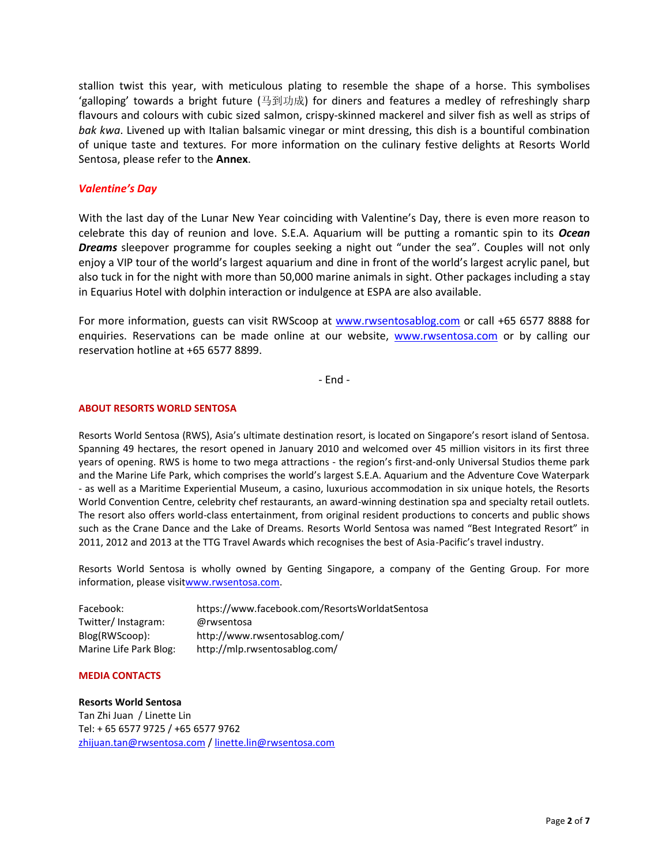stallion twist this year, with meticulous plating to resemble the shape of a horse. This symbolises 'galloping' towards a bright future (马到功成) for diners and features a medley of refreshingly sharp flavours and colours with cubic sized salmon, crispy-skinned mackerel and silver fish as well as strips of *bak kwa*. Livened up with Italian balsamic vinegar or mint dressing, this dish is a bountiful combination of unique taste and textures. For more information on the culinary festive delights at Resorts World Sentosa, please refer to the **Annex**.

# *Valentine's Day*

With the last day of the Lunar New Year coinciding with Valentine's Day, there is even more reason to celebrate this day of reunion and love. S.E.A. Aquarium will be putting a romantic spin to its *Ocean Dreams* sleepover programme for couples seeking a night out "under the sea". Couples will not only enjoy a VIP tour of the world's largest aquarium and dine in front of the world's largest acrylic panel, but also tuck in for the night with more than 50,000 marine animals in sight. Other packages including a stay in Equarius Hotel with dolphin interaction or indulgence at ESPA are also available.

For more information, guests can visit RWScoop at [www.rwsentosablog.com](http://www.rwsentosablog.com/) or call +65 6577 8888 for enquiries. Reservations can be made online at our website, [www.rwsentosa.com](http://www.rwsentosa.com/) or by calling our reservation hotline at +65 6577 8899.

- End -

# **ABOUT RESORTS WORLD SENTOSA**

Resorts World Sentosa (RWS), Asia's ultimate destination resort, is located on Singapore's resort island of Sentosa. Spanning 49 hectares, the resort opened in January 2010 and welcomed over 45 million visitors in its first three years of opening. RWS is home to two mega attractions - the region's first-and-only Universal Studios theme park and the Marine Life Park, which comprises the world's largest S.E.A. Aquarium and the Adventure Cove Waterpark - as well as a Maritime Experiential Museum, a casino, luxurious accommodation in six unique hotels, the Resorts World Convention Centre, celebrity chef restaurants, an award-winning destination spa and specialty retail outlets. The resort also offers world-class entertainment, from original resident productions to concerts and public shows such as the Crane Dance and the Lake of Dreams. Resorts World Sentosa was named "Best Integrated Resort" in 2011, 2012 and 2013 at the TTG Travel Awards which recognises the best of Asia-Pacific's travel industry.

Resorts World Sentosa is wholly owned by Genting Singapore, a company of the Genting Group. For more information, please visi[twww.rwsentosa.com.](http://www.rwsentosa.com/)

| Facebook:              | https://www.facebook.com/ResortsWorldatSentosa |
|------------------------|------------------------------------------------|
| Twitter/Instagram:     | @rwsentosa                                     |
| Blog(RWScoop):         | http://www.rwsentosablog.com/                  |
| Marine Life Park Blog: | http://mlp.rwsentosablog.com/                  |

#### **MEDIA CONTACTS**

# **Resorts World Sentosa**

Tan Zhi Juan / Linette Lin Tel: + 65 6577 9725 / +65 6577 9762 [zhijuan.tan@rwsentosa.com](mailto:zhijuan.tan@rwsentosa.com) [/ linette.lin@rwsentosa.com](mailto:linette.lin@rwsentosa.com)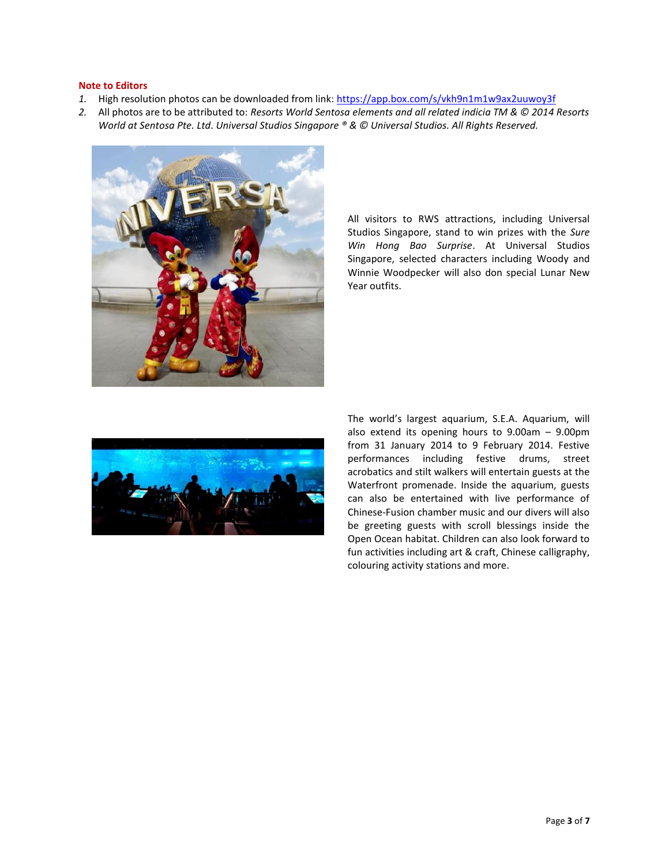#### **Note to Editors**

- 1. High resolution photos can be downloaded from link:<https://app.box.com/s/vkh9n1m1w9ax2uuwoy3f>
- *2.* All photos are to be attributed to: *Resorts World Sentosa elements and all related indicia TM & © 2014 Resorts World at Sentosa Pte. Ltd. Universal Studios Singapore ® & © Universal Studios. All Rights Reserved.*



All visitors to RWS attractions, including Universal Studios Singapore, stand to win prizes with the *Sure Win Hong Bao Surprise*. At Universal Studios Singapore, selected characters including Woody and Winnie Woodpecker will also don special Lunar New Year outfits.



The world's largest aquarium, S.E.A. Aquarium, will also extend its opening hours to 9.00am – 9.00pm from 31 January 2014 to 9 February 2014. Festive performances including festive drums, street acrobatics and stilt walkers will entertain guests at the Waterfront promenade. Inside the aquarium, guests can also be entertained with live performance of Chinese-Fusion chamber music and our divers will also be greeting guests with scroll blessings inside the Open Ocean habitat. Children can also look forward to fun activities including art & craft, Chinese calligraphy, colouring activity stations and more.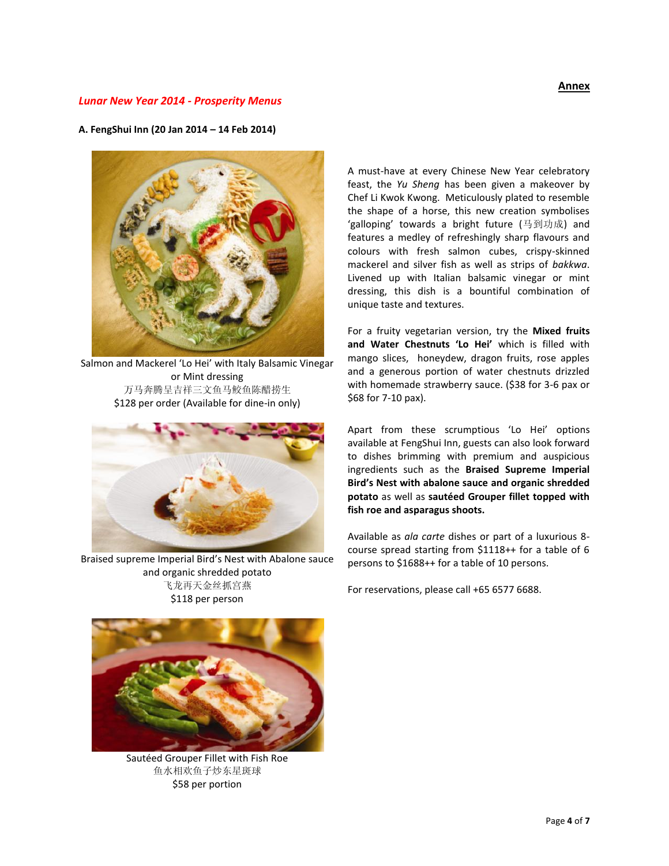# *Lunar New Year 2014 - Prosperity Menus*

### **A. FengShui Inn (20 Jan 2014 – 14 Feb 2014)**



Salmon and Mackerel 'Lo Hei' with Italy Balsamic Vinegar or Mint dressing 万马奔腾呈吉祥三文鱼马鲛鱼陈醋捞生 \$128 per order (Available for dine-in only)



Braised supreme Imperial Bird's Nest with Abalone sauce and organic shredded potato 飞龙再天金丝抓宫燕 \$118 per person



Sautéed Grouper Fillet with Fish Roe 鱼水相欢鱼子炒东星斑球 \$58 per portion

A must-have at every Chinese New Year celebratory feast, the *Yu Sheng* has been given a makeover by Chef Li Kwok Kwong. Meticulously plated to resemble the shape of a horse, this new creation symbolises 'galloping' towards a bright future (马到功成) and features a medley of refreshingly sharp flavours and colours with fresh salmon cubes, crispy-skinned mackerel and silver fish as well as strips of *bakkwa*. Livened up with Italian balsamic vinegar or mint dressing, this dish is a bountiful combination of unique taste and textures.

For a fruity vegetarian version, try the **Mixed fruits and Water Chestnuts 'Lo Hei'** which is filled with mango slices, honeydew, dragon fruits, rose apples and a generous portion of water chestnuts drizzled with homemade strawberry sauce. (\$38 for 3-6 pax or \$68 for 7-10 pax).

Apart from these scrumptious 'Lo Hei' options available at FengShui Inn, guests can also look forward to dishes brimming with premium and auspicious ingredients such as the **Braised Supreme Imperial Bird's Nest with abalone sauce and organic shredded potato** as well as **sautéed Grouper fillet topped with fish roe and asparagus shoots.** 

Available as *ala carte* dishes or part of a luxurious 8 course spread starting from \$1118++ for a table of 6 persons to \$1688++ for a table of 10 persons.

For reservations, please call +65 6577 6688.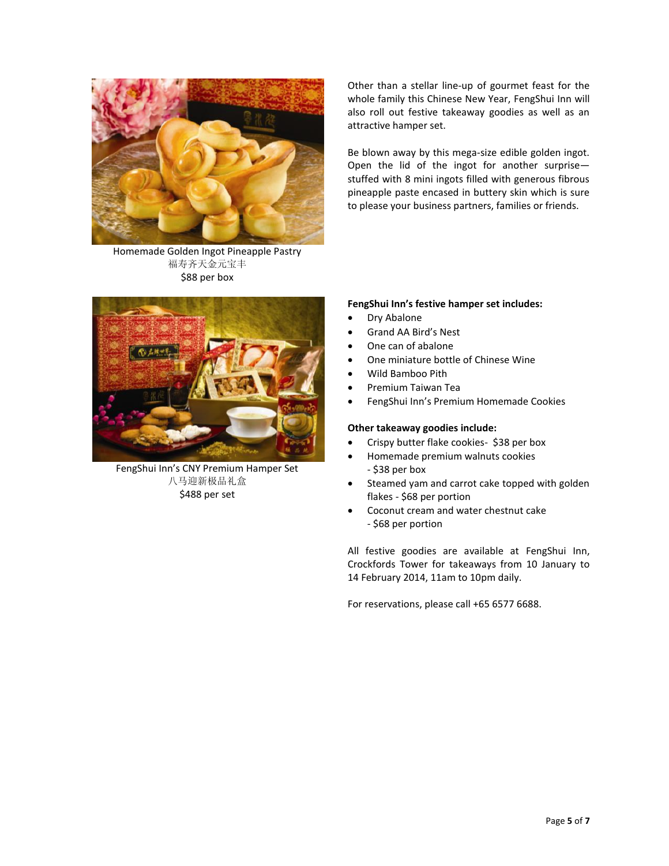

Homemade Golden Ingot Pineapple Pastry 福寿齐天金元宝丰 \$88 per box



FengShui Inn's CNY Premium Hamper Set 八马迎新极品礼盒 \$488 per set

Other than a stellar line-up of gourmet feast for the whole family this Chinese New Year, FengShui Inn will also roll out festive takeaway goodies as well as an attractive hamper set.

Be blown away by this mega-size edible golden ingot. Open the lid of the ingot for another surprise stuffed with 8 mini ingots filled with generous fibrous pineapple paste encased in buttery skin which is sure to please your business partners, families or friends.

# **FengShui Inn's festive hamper set includes:**

- Dry Abalone
- Grand AA Bird's Nest
- One can of abalone
- One miniature bottle of Chinese Wine
- Wild Bamboo Pith
- Premium Taiwan Tea
- FengShui Inn's Premium Homemade Cookies

#### **Other takeaway goodies include:**

- Crispy butter flake cookies- \$38 per box
- Homemade premium walnuts cookies - \$38 per box
- Steamed yam and carrot cake topped with golden flakes - \$68 per portion
- Coconut cream and water chestnut cake - \$68 per portion

All festive goodies are available at FengShui Inn, Crockfords Tower for takeaways from 10 January to 14 February 2014, 11am to 10pm daily.

For reservations, please call +65 6577 6688.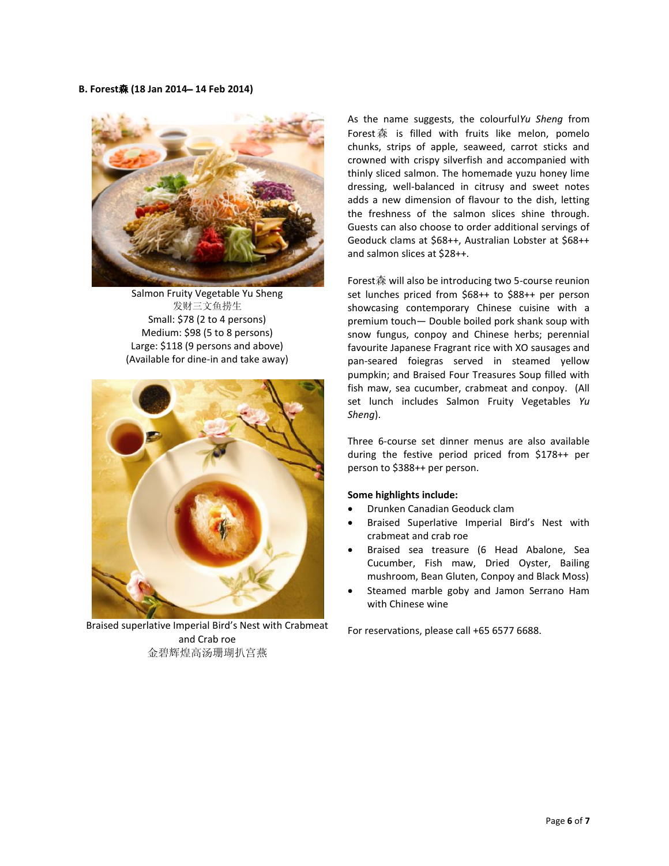#### **B. Forest**森 **(18 Jan 2014**– **14 Feb 2014)**



Salmon Fruity Vegetable Yu Sheng 发财三文鱼捞生 Small: \$78 (2 to 4 persons) Medium: \$98 (5 to 8 persons) Large: \$118 (9 persons and above) (Available for dine-in and take away)



Braised superlative Imperial Bird's Nest with Crabmeat and Crab roe 金碧辉煌高汤珊瑚扒宫燕

As the name suggests, the colourful*Yu Sheng* from Forest森 is filled with fruits like melon, pomelo chunks, strips of apple, seaweed, carrot sticks and crowned with crispy silverfish and accompanied with thinly sliced salmon. The homemade yuzu honey lime dressing, well-balanced in citrusy and sweet notes adds a new dimension of flavour to the dish, letting the freshness of the salmon slices shine through. Guests can also choose to order additional servings of Geoduck clams at \$68++, Australian Lobster at \$68++ and salmon slices at \$28++.

Forest森 will also be introducing two 5-course reunion set lunches priced from \$68++ to \$88++ per person showcasing contemporary Chinese cuisine with a premium touch— Double boiled pork shank soup with snow fungus, conpoy and Chinese herbs; perennial favourite Japanese Fragrant rice with XO sausages and pan-seared foiegras served in steamed yellow pumpkin; and Braised Four Treasures Soup filled with fish maw, sea cucumber, crabmeat and conpoy. (All set lunch includes Salmon Fruity Vegetables *Yu Sheng*).

Three 6-course set dinner menus are also available during the festive period priced from \$178++ per person to \$388++ per person.

# **Some highlights include:**

- Drunken Canadian Geoduck clam
- Braised Superlative Imperial Bird's Nest with crabmeat and crab roe
- Braised sea treasure (6 Head Abalone, Sea Cucumber, Fish maw, Dried Oyster, Bailing mushroom, Bean Gluten, Conpoy and Black Moss)
- Steamed marble goby and Jamon Serrano Ham with Chinese wine

For reservations, please call +65 6577 6688.